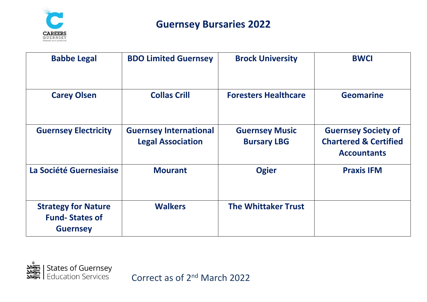

| <b>Babbe Legal</b>                                                     | <b>BDO Limited Guernsey</b>                               | <b>Brock University</b>                     | <b>BWCI</b>                                                                          |
|------------------------------------------------------------------------|-----------------------------------------------------------|---------------------------------------------|--------------------------------------------------------------------------------------|
| <b>Carey Olsen</b>                                                     | <b>Collas Crill</b>                                       | <b>Foresters Healthcare</b>                 | <b>Geomarine</b>                                                                     |
| <b>Guernsey Electricity</b>                                            | <b>Guernsey International</b><br><b>Legal Association</b> | <b>Guernsey Music</b><br><b>Bursary LBG</b> | <b>Guernsey Society of</b><br><b>Chartered &amp; Certified</b><br><b>Accountants</b> |
| La Société Guernesiaise                                                | <b>Mourant</b>                                            | <b>Ogier</b>                                | <b>Praxis IFM</b>                                                                    |
| <b>Strategy for Nature</b><br><b>Fund-States of</b><br><b>Guernsey</b> | <b>Walkers</b>                                            | <b>The Whittaker Trust</b>                  |                                                                                      |

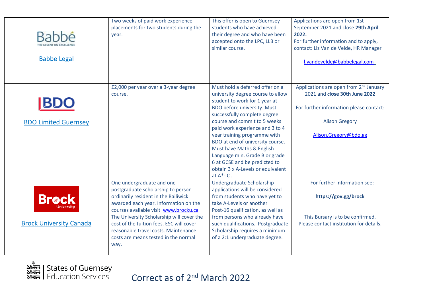| <b>Babbé</b><br><b>Babbe Legal</b>             | Two weeks of paid work experience<br>placements for two students during the<br>year.                                                                                                                                                                                                                                                                                       | This offer is open to Guernsey<br>students who have achieved<br>their degree and who have been<br>accepted onto the LPC, LLB or<br>similar course.                                                                                                                                                                                                                                                                                                                       | Applications are open from 1st<br>September 2021 and close 29th April<br>2022.<br>For further information and to apply,<br>contact: Liz Van de Velde, HR Manager<br>l.vandevelde@babbelegal.com |
|------------------------------------------------|----------------------------------------------------------------------------------------------------------------------------------------------------------------------------------------------------------------------------------------------------------------------------------------------------------------------------------------------------------------------------|--------------------------------------------------------------------------------------------------------------------------------------------------------------------------------------------------------------------------------------------------------------------------------------------------------------------------------------------------------------------------------------------------------------------------------------------------------------------------|-------------------------------------------------------------------------------------------------------------------------------------------------------------------------------------------------|
| <b>BL</b><br><b>BDO Limited Guernsey</b>       | £2,000 per year over a 3-year degree<br>course.                                                                                                                                                                                                                                                                                                                            | Must hold a deferred offer on a<br>university degree course to allow<br>student to work for 1 year at<br><b>BDO</b> before university. Must<br>successfully complete degree<br>course and commit to 5 weeks<br>paid work experience and 3 to 4<br>year training programme with<br>BDO at end of university course.<br>Must have Maths & English<br>Language min. Grade B or grade<br>6 at GCSE and be predicted to<br>obtain 3 x A-Levels or equivalent<br>at $A^*$ - C. | Applications are open from 2 <sup>nd</sup> January<br>2021 and close 30th June 2022<br>For further information please contact:<br><b>Alison Gregory</b><br>Alison.Gregory@bdo.gg                |
| <b>Brock</b><br><b>Brock University Canada</b> | One undergraduate and one<br>postgraduate scholarship to person<br>ordinarily resident in the Bailiwick<br>awarded each year. Information on the<br>courses available visit www.brocku.ca<br>The University Scholarship will cover the<br>cost of the tuition fees. ESC will cover<br>reasonable travel costs. Maintenance<br>costs are means tested in the normal<br>way. | Undergraduate Scholarship<br>applications will be considered<br>from students who have yet to<br>take A-Levels or another<br>Post-16 qualification, as well as<br>from persons who already have<br>such qualifications. Postgraduate<br>Scholarship requires a minimum<br>of a 2:1 undergraduate degree.                                                                                                                                                                 | For further information see:<br>https://gov.gg/brock<br>This Bursary is to be confirmed.<br>Please contact institution for details.                                                             |

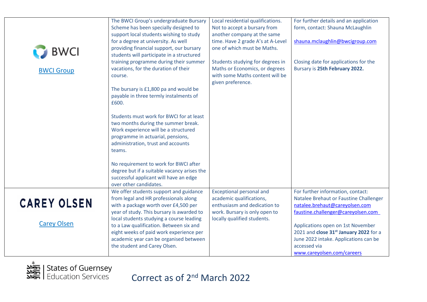|                    | The BWCI Group's undergraduate Bursary                                          | Local residential qualifications.                                | For further details and an application                                      |
|--------------------|---------------------------------------------------------------------------------|------------------------------------------------------------------|-----------------------------------------------------------------------------|
|                    | Scheme has been specially designed to                                           | Not to accept a bursary from                                     | form, contact: Shauna McLaughlin                                            |
|                    | support local students wishing to study<br>for a degree at university. As well  | another company at the same<br>time. Have 2 grade A's at A-Level | shauna.mclaughlin@bwcigroup.com                                             |
|                    | providing financial support, our bursary                                        | one of which must be Maths.                                      |                                                                             |
| <b>D</b> BWCI      | students will participate in a structured                                       |                                                                  |                                                                             |
|                    | training programme during their summer                                          | Students studying for degrees in                                 | Closing date for applications for the                                       |
| <b>BWCI Group</b>  | vacations, for the duration of their                                            | Maths or Economics, or degrees                                   | Bursary is 25th February 2022.                                              |
|                    | course.                                                                         | with some Maths content will be                                  |                                                                             |
|                    | The bursary is £1,800 pa and would be                                           | given preference.                                                |                                                                             |
|                    | payable in three termly instalments of                                          |                                                                  |                                                                             |
|                    | £600.                                                                           |                                                                  |                                                                             |
|                    | Students must work for BWCI for at least                                        |                                                                  |                                                                             |
|                    | two months during the summer break.                                             |                                                                  |                                                                             |
|                    | Work experience will be a structured                                            |                                                                  |                                                                             |
|                    | programme in actuarial, pensions,                                               |                                                                  |                                                                             |
|                    | administration, trust and accounts                                              |                                                                  |                                                                             |
|                    | teams.                                                                          |                                                                  |                                                                             |
|                    | No requirement to work for BWCI after                                           |                                                                  |                                                                             |
|                    | degree but if a suitable vacancy arises the                                     |                                                                  |                                                                             |
|                    | successful applicant will have an edge                                          |                                                                  |                                                                             |
|                    | over other candidates.                                                          |                                                                  |                                                                             |
|                    | We offer students support and guidance<br>from legal and HR professionals along | <b>Exceptional personal and</b><br>academic qualifications,      | For further information, contact:<br>Natalee Brehaut or Faustine Challenger |
| <b>CAREY OLSEN</b> | with a package worth over £4,500 per                                            | enthusiasm and dedication to                                     | natalee.brehaut@careyolsen.com                                              |
|                    | year of study. This bursary is awarded to                                       | work. Bursary is only open to                                    | faustine.challenger@careyolsen.com                                          |
|                    | local students studying a course leading                                        | locally qualified students.                                      |                                                                             |
| <b>Carey Olsen</b> | to a Law qualification. Between six and                                         |                                                                  | Applications open on 1st November                                           |
|                    | eight weeks of paid work experience per                                         |                                                                  | 2021 and close 31 <sup>st</sup> January 2022 for a                          |
|                    | academic year can be organised between                                          |                                                                  | June 2022 intake. Applications can be                                       |
|                    | the student and Carey Olsen.                                                    |                                                                  | accessed via<br>www.careyolsen.com/careers                                  |
|                    |                                                                                 |                                                                  |                                                                             |

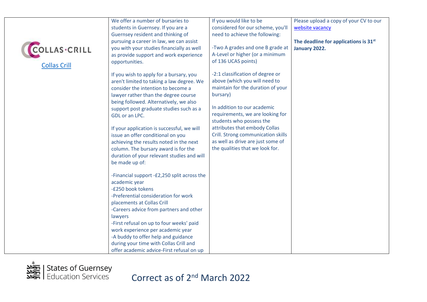| <b>COLLAS-CRILL</b><br><b>Collas Crill</b> | We offer a number of bursaries to<br>students in Guernsey. If you are a<br>Guernsey resident and thinking of<br>pursuing a career in law, we can assist<br>you with your studies financially as well<br>as provide support and work experience<br>opportunities.                                                                                                                                                                                                                                                                                                                | If you would like to be<br>considered for our scheme, you'll<br>need to achieve the following:<br>-Two A grades and one B grade at<br>A-Level or higher (or a minimum<br>of 136 UCAS points)                                                                                                                                                                     | Please upload a copy of your CV to our<br>website vacancy<br>The deadline for applications is 31 <sup>st</sup><br>January 2022. |
|--------------------------------------------|---------------------------------------------------------------------------------------------------------------------------------------------------------------------------------------------------------------------------------------------------------------------------------------------------------------------------------------------------------------------------------------------------------------------------------------------------------------------------------------------------------------------------------------------------------------------------------|------------------------------------------------------------------------------------------------------------------------------------------------------------------------------------------------------------------------------------------------------------------------------------------------------------------------------------------------------------------|---------------------------------------------------------------------------------------------------------------------------------|
|                                            | If you wish to apply for a bursary, you<br>aren't limited to taking a law degree. We<br>consider the intention to become a<br>lawyer rather than the degree course<br>being followed. Alternatively, we also<br>support post graduate studies such as a<br>GDL or an LPC.<br>If your application is successful, we will<br>issue an offer conditional on you<br>achieving the results noted in the next<br>column. The bursary award is for the<br>duration of your relevant studies and will<br>be made up of:<br>-Financial support -£2,250 split across the<br>academic year | -2:1 classification of degree or<br>above (which you will need to<br>maintain for the duration of your<br>bursary)<br>In addition to our academic<br>requirements, we are looking for<br>students who possess the<br>attributes that embody Collas<br>Crill. Strong communication skills<br>as well as drive are just some of<br>the qualities that we look for. |                                                                                                                                 |
|                                            | -£250 book tokens<br>-Preferential consideration for work<br>placements at Collas Crill<br>-Careers advice from partners and other<br>lawyers<br>-First refusal on up to four weeks' paid<br>work experience per academic year<br>-A buddy to offer help and guidance<br>during your time with Collas Crill and<br>offer academic advice-First refusal on up                                                                                                                                                                                                                    |                                                                                                                                                                                                                                                                                                                                                                  |                                                                                                                                 |

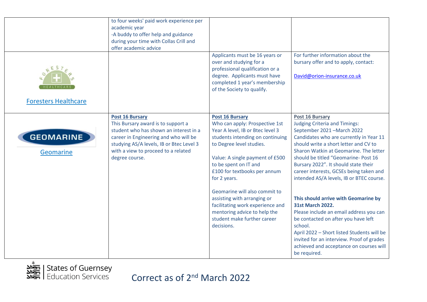| ES<br><b>Foresters Healthcare</b> | to four weeks' paid work experience per<br>academic year<br>-A buddy to offer help and guidance<br>during your time with Collas Crill and<br>offer academic advice                                                                                   | Applicants must be 16 years or<br>over and studying for a<br>professional qualification or a<br>degree. Applicants must have<br>completed 1 year's membership<br>of the Society to qualify.                                                                                                                                                                                                                                                 | For further information about the<br>bursary offer and to apply, contact:<br>David@orion-insurance.co.uk                                                                                                                                                                                                                                                                                                                                                                                                                                                |
|-----------------------------------|------------------------------------------------------------------------------------------------------------------------------------------------------------------------------------------------------------------------------------------------------|---------------------------------------------------------------------------------------------------------------------------------------------------------------------------------------------------------------------------------------------------------------------------------------------------------------------------------------------------------------------------------------------------------------------------------------------|---------------------------------------------------------------------------------------------------------------------------------------------------------------------------------------------------------------------------------------------------------------------------------------------------------------------------------------------------------------------------------------------------------------------------------------------------------------------------------------------------------------------------------------------------------|
| <b>GEOMARINE</b><br>Geomarine     | <b>Post 16 Bursary</b><br>This Bursary award is to support a<br>student who has shown an interest in a<br>career in Engineering and who will be<br>studying AS/A levels, IB or Btec Level 3<br>with a view to proceed to a related<br>degree course. | <b>Post 16 Bursary</b><br>Who can apply: Prospective 1st<br>Year A level, IB or Btec level 3<br>students intending on continuing<br>to Degree level studies.<br>Value: A single payment of £500<br>to be spent on IT and<br>£100 for textbooks per annum<br>for 2 years.<br>Geomarine will also commit to<br>assisting with arranging or<br>facilitating work experience and<br>mentoring advice to help the<br>student make further career | <b>Post 16 Bursary</b><br><b>Judging Criteria and Timings:</b><br>September 2021 - March 2022<br>Candidates who are currently in Year 11<br>should write a short letter and CV to<br>Sharon Watkin at Geomarine. The letter<br>should be titled "Geomarine- Post 16<br>Bursary 2022". It should state their<br>career interests, GCSEs being taken and<br>intended AS/A levels, IB or BTEC course.<br>This should arrive with Geomarine by<br><b>31st March 2022.</b><br>Please include an email address you can<br>be contacted on after you have left |
|                                   |                                                                                                                                                                                                                                                      | decisions.                                                                                                                                                                                                                                                                                                                                                                                                                                  | school.<br>April 2022 - Short listed Students will be<br>invited for an interview. Proof of grades<br>achieved and acceptance on courses will<br>be required.                                                                                                                                                                                                                                                                                                                                                                                           |

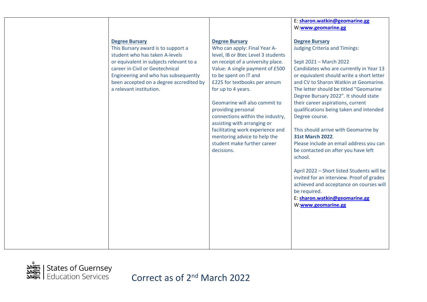|                                                                                                                                                                                                                                                                                           |                                                                                                                                                                                                                                                                                                                                                                                                                                                                                               | E: sharon.watkin@geomarine.gg<br>W:www.geomarine.gg                                                                                                                                                                                                                                                                                                                                                                                                                                                                                                                                                                                                                                                                                                                                        |
|-------------------------------------------------------------------------------------------------------------------------------------------------------------------------------------------------------------------------------------------------------------------------------------------|-----------------------------------------------------------------------------------------------------------------------------------------------------------------------------------------------------------------------------------------------------------------------------------------------------------------------------------------------------------------------------------------------------------------------------------------------------------------------------------------------|--------------------------------------------------------------------------------------------------------------------------------------------------------------------------------------------------------------------------------------------------------------------------------------------------------------------------------------------------------------------------------------------------------------------------------------------------------------------------------------------------------------------------------------------------------------------------------------------------------------------------------------------------------------------------------------------------------------------------------------------------------------------------------------------|
| <b>Degree Bursary</b><br>This Bursary award is to support a<br>student who has taken A-levels<br>or equivalent in subjects relevant to a<br>career in Civil or Geotechnical<br>Engineering and who has subsequently<br>been accepted on a degree accredited by<br>a relevant institution. | <b>Degree Bursary</b><br>Who can apply: Final Year A-<br>level, IB or Btec Level 3 students<br>on receipt of a university place.<br>Value: A single payment of £500<br>to be spent on IT and<br>£225 for textbooks per annum<br>for up to 4 years.<br>Geomarine will also commit to<br>providing personal<br>connections within the industry,<br>assisting with arranging or<br>facilitating work experience and<br>mentoring advice to help the<br>student make further career<br>decisions. | <b>Degree Bursary</b><br><b>Judging Criteria and Timings:</b><br>Sept 2021 - March 2022<br>Candidates who are currently in Year 13<br>or equivalent should write a short letter<br>and CV to Sharon Watkin at Geomarine.<br>The letter should be titled "Geomarine<br>Degree Bursary 2022". It should state<br>their career aspirations, current<br>qualifications being taken and intended<br>Degree course.<br>This should arrive with Geomarine by<br><b>31st March 2022.</b><br>Please include an email address you can<br>be contacted on after you have left<br>school.<br>April 2022 - Short listed Students will be<br>invited for an interview. Proof of grades<br>achieved and acceptance on courses will<br>be required.<br>E: sharon.watkin@geomarine.gg<br>W:www.geomarine.gg |

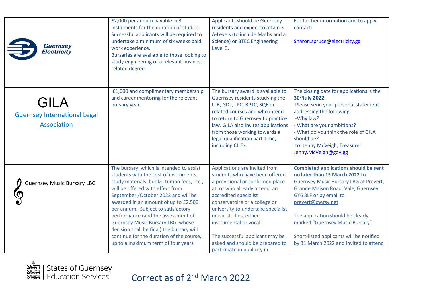| <b>Guernsey</b><br><b>Electricity</b>                                    | £2,000 per annum payable in 3<br>instalments for the duration of studies.<br>Successful applicants will be required to<br>undertake a minimum of six weeks paid<br>work experience.<br>Bursaries are available to those looking to<br>study engineering or a relevant business-<br>related degree.                                                                                                                                                                                                            | <b>Applicants should be Guernsey</b><br>residents and expect to attain 3<br>A-Levels (to include Maths and a<br>Science) or BTEC Engineering<br>Level 3.                                                                                                                                                                                                                                     | For further information and to apply,<br>contact:<br>Sharon.spruce@electricity.gg                                                                                                                                                                                                                                                                                                   |
|--------------------------------------------------------------------------|---------------------------------------------------------------------------------------------------------------------------------------------------------------------------------------------------------------------------------------------------------------------------------------------------------------------------------------------------------------------------------------------------------------------------------------------------------------------------------------------------------------|----------------------------------------------------------------------------------------------------------------------------------------------------------------------------------------------------------------------------------------------------------------------------------------------------------------------------------------------------------------------------------------------|-------------------------------------------------------------------------------------------------------------------------------------------------------------------------------------------------------------------------------------------------------------------------------------------------------------------------------------------------------------------------------------|
| <b>GILA</b><br><b>Guernsey International Legal</b><br><b>Association</b> | £1,000 and complimentary membership<br>and career mentoring for the relevant<br>bursary year.                                                                                                                                                                                                                                                                                                                                                                                                                 | The bursary award is available to<br>Guernsey residents studying the<br>LLB, GDL, LPC, BPTC, SQE or<br>related courses and who intend<br>to return to Guernsey to practice<br>law. GILA also invites applications<br>from those working towards a<br>legal qualification part-time,<br>including CILEx.                                                                                      | The closing date for applications is the<br>30 <sup>th</sup> July 2022.<br>Please send your personal statement<br>addressing the following:<br>-Why law?<br>- What are your ambitions?<br>- What do you think the role of GILA<br>should be?<br>to: Jenny McVeigh, Treasurer<br>Jenny.McVeigh@gov.gg                                                                                |
| <b>Guernsey Music Bursary LBG</b>                                        | The bursary, which is intended to assist<br>students with the cost of instruments,<br>study materials, books, tuition fees, etc.,<br>will be offered with effect from<br>September / October 2022 and will be<br>awarded in an amount of up to £2,500<br>per annum. Subject to satisfactory<br>performance (and the assessment of<br><b>Guernsey Music Bursary LBG, whose</b><br>decision shall be final) the bursary will<br>continue for the duration of the course,<br>up to a maximum term of four years. | Applications are invited from<br>students who have been offered<br>a provisional or confirmed place<br>at, or who already attend, an<br>accredited specialist<br>conservatoire or a college or<br>university to undertake specialist<br>music studies, either<br>instrumental or vocal.<br>The successful applicant may be<br>asked and should be prepared to<br>participate in publicity in | <b>Completed applications should be sent</b><br>no later than 15 March 2022 to<br><b>Guernsey Music Bursary LBG at Prevert,</b><br>Grande Maison Road, Vale, Guernsey<br>GY6 8LF or by email to<br>prevert@cwgsy.net<br>The application should be clearly<br>marked "Guernsey Music Bursary".<br>Short-listed applicants will be notified<br>by 31 March 2022 and invited to attend |

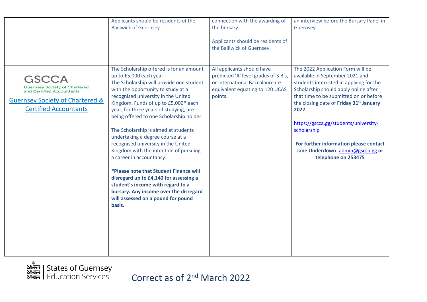|                                                                                                                                                          | Applicants should be residents of the<br><b>Bailiwick of Guernsey.</b>                                                                                                                                                                                                                                                                                                                                                                                                                                                                                                                                                                                                                                                                | connection with the awarding of<br>the bursary.<br>Applicants should be residents of<br>the Bailiwick of Guernsey.                                 | an interview before the Bursary Panel in<br>Guernsey.                                                                                                                                                                                                                                                                                                                                                                            |
|----------------------------------------------------------------------------------------------------------------------------------------------------------|---------------------------------------------------------------------------------------------------------------------------------------------------------------------------------------------------------------------------------------------------------------------------------------------------------------------------------------------------------------------------------------------------------------------------------------------------------------------------------------------------------------------------------------------------------------------------------------------------------------------------------------------------------------------------------------------------------------------------------------|----------------------------------------------------------------------------------------------------------------------------------------------------|----------------------------------------------------------------------------------------------------------------------------------------------------------------------------------------------------------------------------------------------------------------------------------------------------------------------------------------------------------------------------------------------------------------------------------|
| GSCCA<br><b>Guernsey Society of Chartered</b><br>and Certified Accountants<br><b>Guernsey Society of Chartered &amp;</b><br><b>Certified Accountants</b> | The Scholarship offered is for an amount<br>up to £5,000 each year<br>The Scholarship will provide one student<br>with the opportunity to study at a<br>recognised university in the United<br>Kingdom. Funds of up to £5,000* each<br>year, for three years of studying, are<br>being offered to one Scholarship holder.<br>The Scholarship is aimed at students<br>undertaking a degree course at a<br>recognised university in the United<br>Kingdom with the intention of pursuing<br>a career in accountancy.<br>*Please note that Student Finance will<br>disregard up to £4,140 for assessing a<br>student's income with regard to a<br>bursary. Any income over the disregard<br>will assessed on a pound for pound<br>basis. | All applicants should have<br>predicted 'A' level grades of 3 B's,<br>or International Baccalaureate<br>equivalent equating to 120 UCAS<br>points. | The 2022 Application Form will be<br>available in September 2021 and<br>students interested in applying for the<br>Scholarship should apply online after<br>that time to be submitted on or before<br>the closing date of Friday 31 <sup>st</sup> January<br>2022.<br>https://gscca.gg/students/university-<br>scholarship<br>For further information please contact<br>Jane Underdown: admin@gscca.gg or<br>telephone on 253475 |

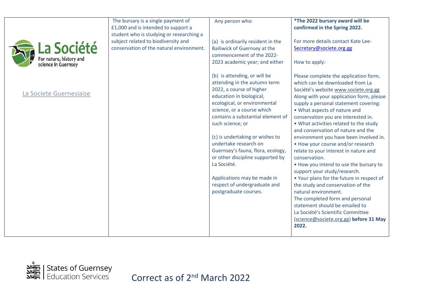| La Société<br>For nature, history and<br>science in Guernsey<br>La Societe Guernesiaise | The bursary is a single payment of<br>£1,000 and is intended to support a<br>student who is studying or researching a<br>subject related to biodiversity and<br>conservation of the natural environment. | Any person who:<br>(a) is ordinarily resident in the<br><b>Bailiwick of Guernsey at the</b><br>commencement of the 2022-<br>2023 academic year; and either<br>(b) is attending, or will be<br>attending in the autumn term<br>2022, a course of higher<br>education in biological,<br>ecological, or environmental<br>science, or a course which<br>contains a substantial element of<br>such science; or<br>(c) is undertaking or wishes to<br>undertake research on<br>Guernsey's fauna, flora, ecology,<br>or other discipline supported by<br>La Société.<br>Applications may be made in<br>respect of undergraduate and<br>postgraduate courses. | *The 2022 bursary award will be<br>confirmed in the Spring 2022.<br>For more details contact Kate Lee-<br>Secretary@societe.org.gg<br>How to apply:<br>Please complete the application form,<br>which can be downloaded from La<br>Société's website www.societe.org.gg<br>Along with your application form, please<br>supply a personal statement covering:<br>• What aspects of nature and<br>conservation you are interested in.<br>. What activities related to the study<br>and conservation of nature and the<br>environment you have been involved in.<br>• How your course and/or research<br>relate to your interest in nature and<br>conservation.<br>. How you intend to use the bursary to<br>support your study/research.<br>. Your plans for the future in respect of<br>the study and conservation of the<br>natural environment.<br>The completed form and personal<br>statement should be emailed to<br>La Société's Scientific Committee<br>(science@societe.org.gg) before 31 May |
|-----------------------------------------------------------------------------------------|----------------------------------------------------------------------------------------------------------------------------------------------------------------------------------------------------------|-------------------------------------------------------------------------------------------------------------------------------------------------------------------------------------------------------------------------------------------------------------------------------------------------------------------------------------------------------------------------------------------------------------------------------------------------------------------------------------------------------------------------------------------------------------------------------------------------------------------------------------------------------|------------------------------------------------------------------------------------------------------------------------------------------------------------------------------------------------------------------------------------------------------------------------------------------------------------------------------------------------------------------------------------------------------------------------------------------------------------------------------------------------------------------------------------------------------------------------------------------------------------------------------------------------------------------------------------------------------------------------------------------------------------------------------------------------------------------------------------------------------------------------------------------------------------------------------------------------------------------------------------------------------|
|                                                                                         |                                                                                                                                                                                                          |                                                                                                                                                                                                                                                                                                                                                                                                                                                                                                                                                                                                                                                       | 2022.                                                                                                                                                                                                                                                                                                                                                                                                                                                                                                                                                                                                                                                                                                                                                                                                                                                                                                                                                                                                |

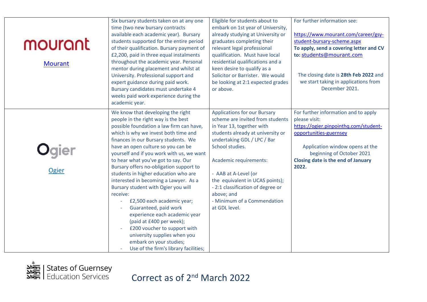| mourant<br><b>Mourant</b> | Six bursary students taken on at any one<br>time (two new bursary contracts<br>available each academic year). Bursary<br>students supported for the entire period<br>of their qualification. Bursary payment of<br>£2,200, paid in three equal instalments<br>throughout the academic year. Personal<br>mentor during placement and whilst at<br>University. Professional support and<br>expert guidance during paid work.<br>Bursary candidates must undertake 4<br>weeks paid work experience during the<br>academic year.                                                                                                                                                                                                                                          | Eligible for students about to<br>embark on 1st year of University,<br>already studying at University or<br>graduates completing their<br>relevant legal professional<br>qualification. Must have local<br>residential qualifications and a<br>keen desire to qualify as a<br>Solicitor or Barrister. We would<br>be looking at 2:1 expected grades<br>or above.                    | For further information see:<br>https://www.mourant.com/career/gsy-<br>student-bursary-scheme.aspx<br>To apply, send a covering letter and CV<br>to: students@mourant.com<br>The closing date is 28th Feb 2022 and<br>we start taking in applications from<br>December 2021. |
|---------------------------|-----------------------------------------------------------------------------------------------------------------------------------------------------------------------------------------------------------------------------------------------------------------------------------------------------------------------------------------------------------------------------------------------------------------------------------------------------------------------------------------------------------------------------------------------------------------------------------------------------------------------------------------------------------------------------------------------------------------------------------------------------------------------|-------------------------------------------------------------------------------------------------------------------------------------------------------------------------------------------------------------------------------------------------------------------------------------------------------------------------------------------------------------------------------------|------------------------------------------------------------------------------------------------------------------------------------------------------------------------------------------------------------------------------------------------------------------------------|
| Ogier                     | We know that developing the right<br>people in the right way is the best<br>possible foundation a law firm can have,<br>which is why we invest both time and<br>finances in our Bursary students. We<br>have an open culture so you can be<br>yourself and if you work with us, we want<br>to hear what you've got to say. Our<br>Bursary offers no-obligation support to<br>students in higher education who are<br>interested in becoming a Lawyer. As a<br>Bursary student with Ogier you will<br>receive:<br>£2,500 each academic year;<br>Guaranteed, paid work<br>experience each academic year<br>(paid at £400 per week);<br>£200 voucher to support with<br>university supplies when you<br>embark on your studies;<br>Use of the firm's library facilities; | <b>Applications for our Bursary</b><br>scheme are invited from students<br>in Year 13, together with<br>students already at university or<br>undertaking GDL / LPC / Bar<br>School studies.<br>Academic requirements:<br>- AAB at A-Level (or<br>the equivalent in UCAS points);<br>- 2:1 classification of degree or<br>above; and<br>- Minimum of a Commendation<br>at GDL level. | For further information and to apply<br>please visit:<br>https://ogier.pinpointhq.com/student-<br>opportunities-guernsey<br>Application window opens at the<br>beginning of October 2021<br>Closing date is the end of January<br>2022.                                      |

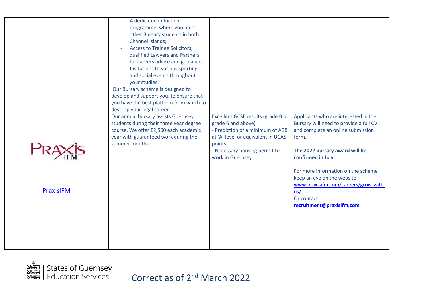|                  | A dedicated induction<br>programme, where you meet<br>other Bursary students in both<br>Channel Islands;<br><b>Access to Trainee Solicitors,</b><br>qualified Lawyers and Partners<br>for careers advice and guidance;<br>Invitations to various sporting<br>$\overline{\phantom{a}}$<br>and social events throughout<br>your studies.<br>Our Bursary scheme is designed to<br>develop and support you, to ensure that<br>you have the best platform from which to<br>develop your legal career. |                                                                                                                                                                                                   |                                                                                                                                                                                                                                                                                                                                                    |
|------------------|--------------------------------------------------------------------------------------------------------------------------------------------------------------------------------------------------------------------------------------------------------------------------------------------------------------------------------------------------------------------------------------------------------------------------------------------------------------------------------------------------|---------------------------------------------------------------------------------------------------------------------------------------------------------------------------------------------------|----------------------------------------------------------------------------------------------------------------------------------------------------------------------------------------------------------------------------------------------------------------------------------------------------------------------------------------------------|
| <b>PraxisIFM</b> | Our annual bursary assists Guernsey<br>students during their three year degree<br>course. We offer £2,500 each academic<br>year with guaranteed work during the<br>summer months.                                                                                                                                                                                                                                                                                                                | Excellent GCSE results (grade B or<br>grade 6 and above)<br>- Prediction of a minimum of ABB<br>at 'A' level or equivalent in UCAS<br>points<br>- Necessary housing permit to<br>work in Guernsey | Applicants who are interested in the<br>Bursary will need to provide a full CV<br>and complete an online submission<br>form.<br>The 2022 bursary award will be<br>confirmed in July.<br>For more information on the scheme<br>keep an eye on the website<br>www.praxisifm.com/careers/grow-with-<br>us/<br>Or contact<br>recruitment@praxisifm.com |

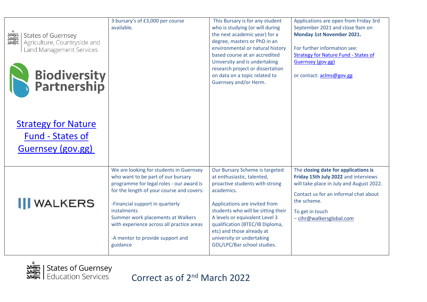| States of Guernsey<br>States of Guernsey<br>State and<br>Land Management Services<br><b>Biodiversity<br/>Partnership</b> | 3 bursary's of £3,000 per course<br>available.                                                                                                                                                                                                                                                                                                             | This Bursary is for any student<br>who is studying (or will during<br>the next academic year) for a<br>degree, masters or PhD in an<br>environmental or natural history<br>based course at an accredited<br>University and is undertaking<br>research project or dissertation<br>on data on a topic related to<br>Guernsey and/or Herm.           | Applications are open from Friday 3rd<br>September 2021 and close 9am on<br><b>Monday 1st November 2021.</b><br>For further information see:<br><b>Strategy for Nature Fund - States of</b><br>Guernsey (gov.gg)<br>or contact: aclms@gov.gg |
|--------------------------------------------------------------------------------------------------------------------------|------------------------------------------------------------------------------------------------------------------------------------------------------------------------------------------------------------------------------------------------------------------------------------------------------------------------------------------------------------|---------------------------------------------------------------------------------------------------------------------------------------------------------------------------------------------------------------------------------------------------------------------------------------------------------------------------------------------------|----------------------------------------------------------------------------------------------------------------------------------------------------------------------------------------------------------------------------------------------|
| <b>Strategy for Nature</b><br><b>Fund - States of</b><br><b>Guernsey (gov.gg)</b>                                        |                                                                                                                                                                                                                                                                                                                                                            |                                                                                                                                                                                                                                                                                                                                                   |                                                                                                                                                                                                                                              |
| <b>III</b> WALKERS                                                                                                       | We are looking for students in Guernsey<br>who want to be part of our bursary<br>programme for legal roles - our award is<br>for the length of your course and covers:<br>-Financial support in quarterly<br>instalments<br>Summer work placements at Walkers<br>with experience across all practice areas<br>-A mentor to provide support and<br>guidance | Our Bursary Scheme is targeted<br>at enthusiastic, talented,<br>proactive students with strong<br>academics.<br>Applications are invited from<br>students who will be sitting their<br>A levels or equivalent Level 3<br>qualification (BTEC/IB Diploma,<br>etc) and those already at<br>university or undertaking<br>GDL/LPC/Bar school studies. | The closing date for applications is<br>Friday 15th July 2022 and interviews<br>will take place in July and August 2022.<br>Contact us for an informal chat about<br>the scheme.<br>To get in touch<br>- cihr@walkersglobal.com              |